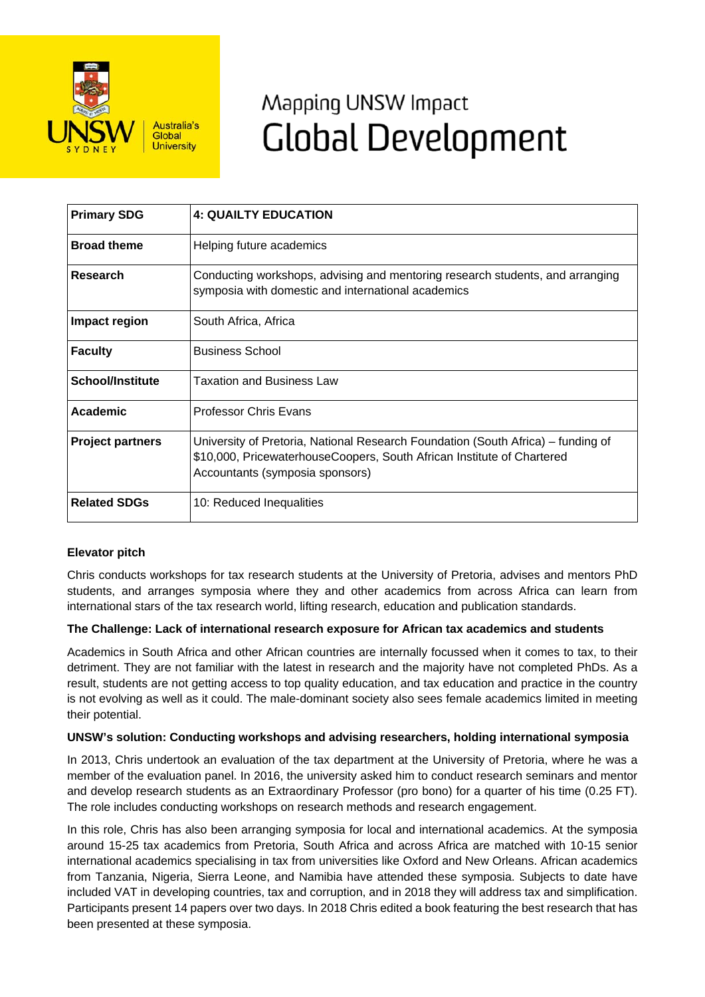

# Mapping UNSW Impact **Global Development**

| <b>Primary SDG</b>      | <b>4: QUAILTY EDUCATION</b>                                                                                                                                                                   |
|-------------------------|-----------------------------------------------------------------------------------------------------------------------------------------------------------------------------------------------|
| <b>Broad theme</b>      | Helping future academics                                                                                                                                                                      |
| Research                | Conducting workshops, advising and mentoring research students, and arranging<br>symposia with domestic and international academics                                                           |
| Impact region           | South Africa, Africa                                                                                                                                                                          |
| <b>Faculty</b>          | <b>Business School</b>                                                                                                                                                                        |
| <b>School/Institute</b> | <b>Taxation and Business Law</b>                                                                                                                                                              |
| Academic                | <b>Professor Chris Evans</b>                                                                                                                                                                  |
| <b>Project partners</b> | University of Pretoria, National Research Foundation (South Africa) – funding of<br>\$10,000, PricewaterhouseCoopers, South African Institute of Chartered<br>Accountants (symposia sponsors) |
| <b>Related SDGs</b>     | 10: Reduced Inequalities                                                                                                                                                                      |

## **Elevator pitch**

Chris conducts workshops for tax research students at the University of Pretoria, advises and mentors PhD students, and arranges symposia where they and other academics from across Africa can learn from international stars of the tax research world, lifting research, education and publication standards.

### **The Challenge: Lack of international research exposure for African tax academics and students**

Academics in South Africa and other African countries are internally focussed when it comes to tax, to their detriment. They are not familiar with the latest in research and the majority have not completed PhDs. As a result, students are not getting access to top quality education, and tax education and practice in the country is not evolving as well as it could. The male-dominant society also sees female academics limited in meeting their potential.

### **UNSW's solution: Conducting workshops and advising researchers, holding international symposia**

In 2013, Chris undertook an evaluation of the tax department at the University of Pretoria, where he was a member of the evaluation panel. In 2016, the university asked him to conduct research seminars and mentor and develop research students as an Extraordinary Professor (pro bono) for a quarter of his time (0.25 FT). The role includes conducting workshops on research methods and research engagement.

In this role, Chris has also been arranging symposia for local and international academics. At the symposia around 15-25 tax academics from Pretoria, South Africa and across Africa are matched with 10-15 senior international academics specialising in tax from universities like Oxford and New Orleans. African academics from Tanzania, Nigeria, Sierra Leone, and Namibia have attended these symposia. Subjects to date have included VAT in developing countries, tax and corruption, and in 2018 they will address tax and simplification. Participants present 14 papers over two days. In 2018 Chris edited a book featuring the best research that has been presented at these symposia.